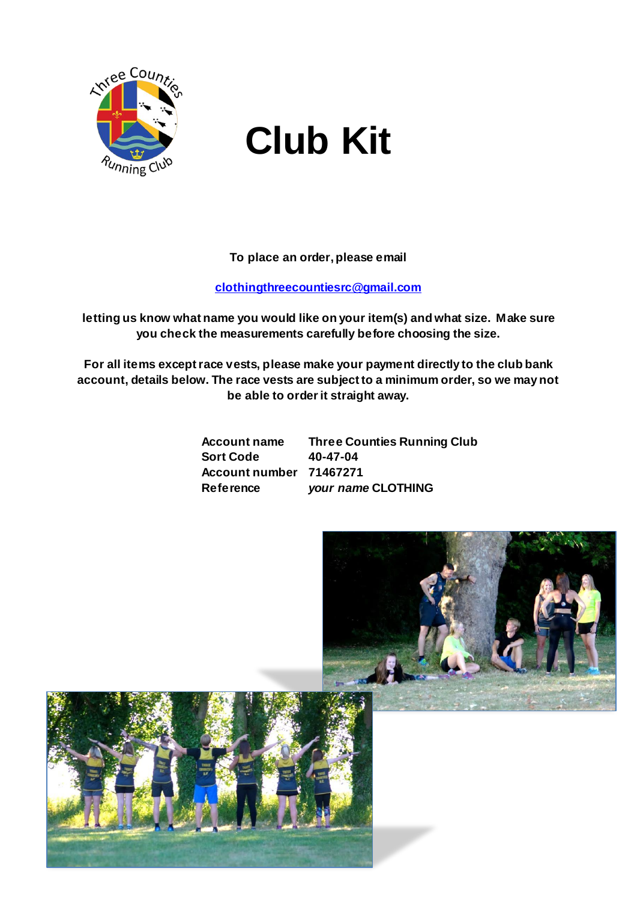

# **Club Kit**

**To place an order, please email** 

#### **[clothingthreecountiesrc@gmail.com](mailto:clothingthreecountiesrc@gmail.com)**

**letting us know what name you would like on your item(s) and what size. Make sure you check the measurements carefully before choosing the size.**

**For all items except race vests, please make your payment directly to the club bank account, details below. The race vests are subject to a minimum order, so we may not be able to order it straight away.**

> **Sort Code 40-47-04 Account number 71467271**

**Account name Three Counties Running Club Reference** *your name* **CLOTHING**

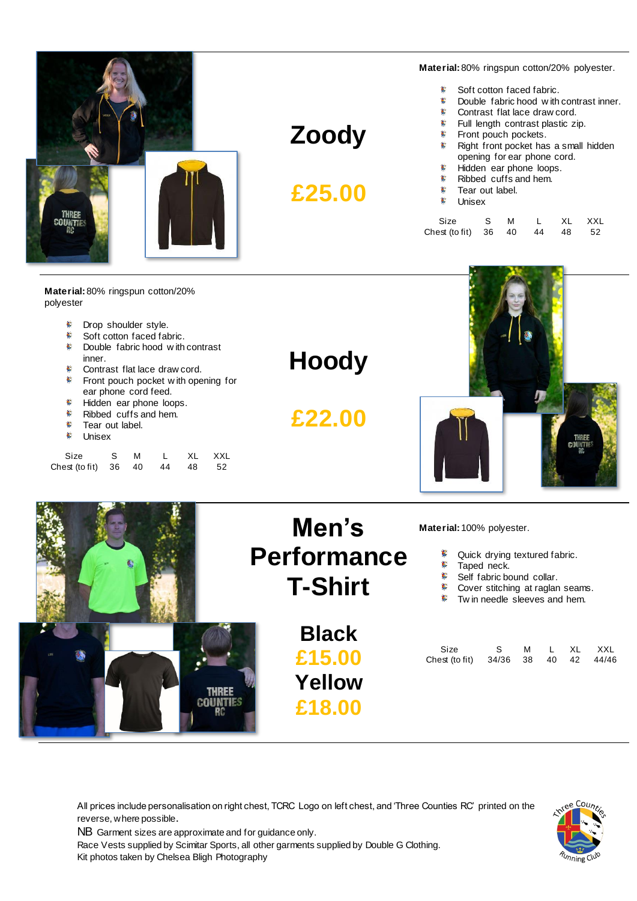

#### **Zoody**

**£25.00**

**Material:**80% ringspun cotton/20% polyester.

- $\blacktriangle$ Soft cotton faced fabric.
- $\pmb{\epsilon}$ Double fabric hood w ith contrast inner.
- $\pmb{\epsilon}$ Contrast flat lace draw cord.
	- $\pmb{\epsilon}$ Full length contrast plastic zip.
	- $\mathbf{E}^{\pm}$ Front pouch pockets.
	- £. Right front pocket has a small hidden opening for ear phone cord.
	- $\mathbf{E}$ Hidden ear phone loops.
	- $\pmb{\epsilon}$ Ribbed cuffs and hem.
	- Tear out label.  $\pmb{\epsilon}$
- $\mathbf{C}$  . Unisex

| Size                          | S M | L XL XXL |  |
|-------------------------------|-----|----------|--|
| Chest (to fit) 36 40 44 48 52 |     |          |  |

**Material:**80% ringspun cotton/20% polyester

| polyester                                                                                                               |                    |                                                                  |
|-------------------------------------------------------------------------------------------------------------------------|--------------------|------------------------------------------------------------------|
| Drop shoulder style.                                                                                                    |                    |                                                                  |
| 6<br>Soft cotton faced fabric.                                                                                          |                    |                                                                  |
| Double fabric hood with contrast<br>inner.<br>Contrast flat lace draw cord.<br>c<br>Front pouch pocket with opening for | <b>Hoody</b>       |                                                                  |
| ear phone cord feed.                                                                                                    |                    |                                                                  |
| Hidden ear phone loops.                                                                                                 |                    |                                                                  |
| Ribbed cuffs and hem.                                                                                                   | £22.00             |                                                                  |
| Tear out label.<br>6<br>Unisex                                                                                          |                    |                                                                  |
| 36 40<br>44<br>48<br>52<br>Chest (to fit)                                                                               |                    |                                                                  |
|                                                                                                                         | Men's              | Material: 100% polyester.                                        |
|                                                                                                                         | <b>Performance</b> | Quick drying textured fabric.                                    |
|                                                                                                                         |                    | Taped neck.                                                      |
|                                                                                                                         | <b>T-Shirt</b>     | Self fabric bound collar.                                        |
|                                                                                                                         |                    | Cover stitching at raglan seams.<br>Twin needle sleeves and hem. |
|                                                                                                                         |                    |                                                                  |
|                                                                                                                         | <b>Black</b>       |                                                                  |

**£15.00**

**Yellow**

**£18.00**

| Size                                |  |  | SMLXLXXL |
|-------------------------------------|--|--|----------|
| Chest (to fit) 34/36 38 40 42 44/46 |  |  |          |

All prices include personalisation on right chest, TCRC Logo on left chest, and 'Three Counties RC' printed on the reverse, where possible.

NB Garment sizes are approximate and for guidance only.

**THREE COUNTIES** 

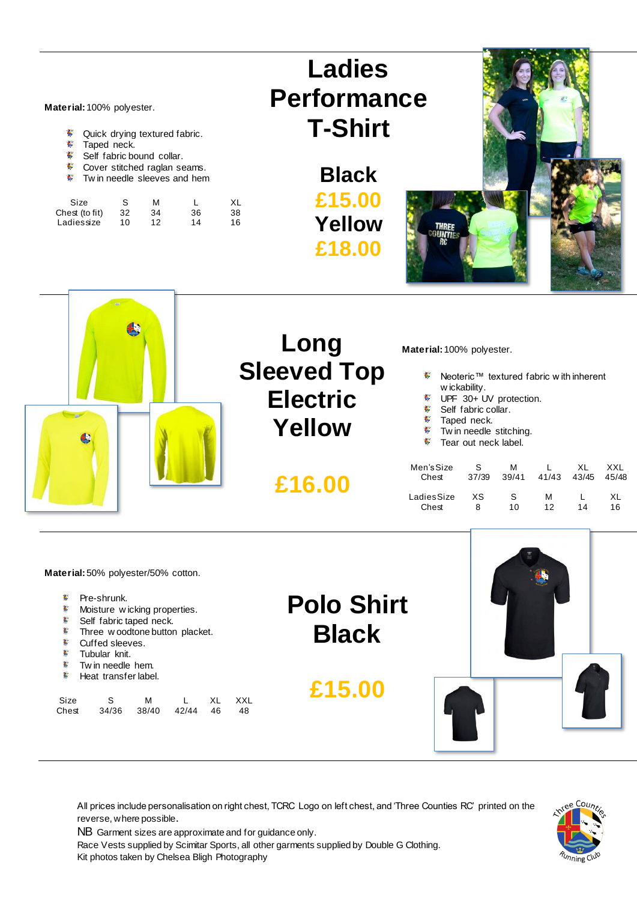**Material:**100% polyester.

- $\pmb{\epsilon}$ Quick drying textured fabric.
- $\mathbf{C}$ Taped neck.
- $\mathbf{E}^{\top}$ Self fabric bound collar.
- $\mathbf{E}^{\top}$ Cover stitched raglan seams.
- **Twin needle sleeves and hem**

| Size           | S   | M  |    | XL |
|----------------|-----|----|----|----|
| Chest (to fit) | 32  | 34 | 36 | 38 |
| Ladiessize     | 10. | 12 | 14 | 16 |



**Black £15.00 Yellow £18.00**





**Material:**50% polyester/50% cotton.

- $\mathbf{C}$ Pre-shrunk.
- **Moisture w icking properties.**
- Self fabric taped neck.
- Three w oodtone button placket.
- Cuffed sleeves.
- Tubular knit.
- $\bullet$  Tw in needle hem.
- **F** Heat transfer label.

| Size  | S. | M                    |  | XL XXL |
|-------|----|----------------------|--|--------|
| Chest |    | 34/36 38/40 42/44 46 |  | -48    |

**Polo Shirt Black**

**£15.00**



All prices include personalisation on right chest, TCRC Logo on left chest, and 'Three Counties RC' printed on the reverse, where possible.

NB Garment sizes are approximate and for guidance only.

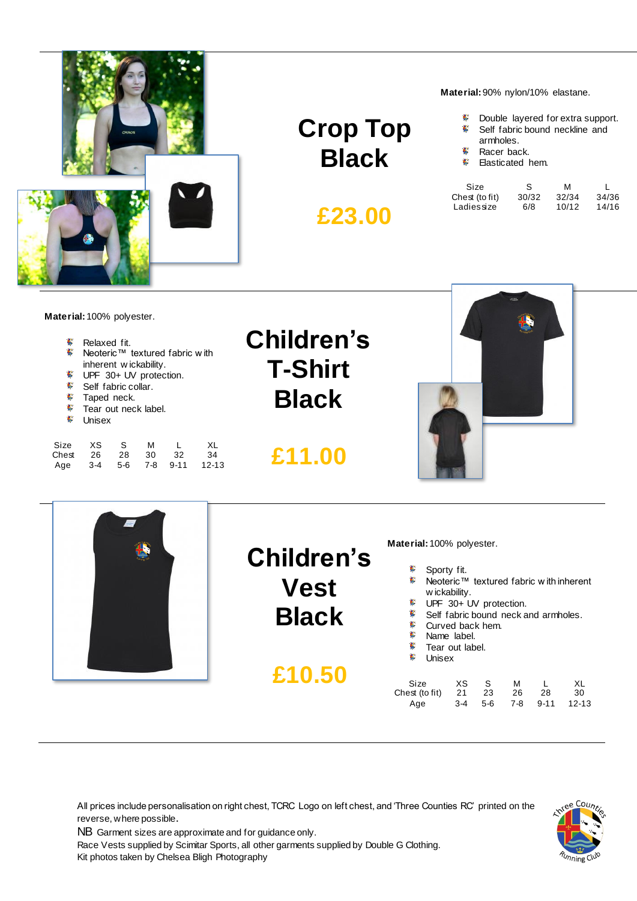

**Crop Top Black**

**£23.00**

**Material:**90% nylon/10% elastane.

- $\mathbf{C}$ Double layered for extra support.
- $\pmb{\epsilon}$ Self fabric bound neckline and
- armholes.  $\mathbf{E}$ Racer back.
- $\mathbf{E}$ Elasticated hem.

| Size                         | S.           | м              |                |
|------------------------------|--------------|----------------|----------------|
| Chest (to fit)<br>Ladiessize | 30/32<br>6/8 | 32/34<br>10/12 | 34/36<br>14/16 |
|                              |              |                |                |

**Material:**100% polyester.

| 6            | Relaxed fit.                   |  |
|--------------|--------------------------------|--|
| €.           | Neoteric™ textured fabric with |  |
|              | inherent wickability.          |  |
| 6            | UPF 30+ UV protection.         |  |
| €.           | Self fabric collar.            |  |
| $\mathbf{E}$ | Taped neck.                    |  |
|              |                                |  |

- Tear out neck label.
- ŧ. Unisex

| Size  | XS. | S.  | м   |      | XL    |
|-------|-----|-----|-----|------|-------|
| Chest | -26 | 28  | 30. | 32   | -34   |
| Age   | 3-4 | 5-6 | 7-8 | 9-11 | 12-13 |

### **Children's T-Shirt Black**

**£11.00**





#### **Children's Vest Black**

**£10.50**

**Material:**100% polyester.

- € Sporty fit.
- € Neoteric™ textured fabric w ith inherent w ickability.
- UPF 30+ UV protection.
- Self fabric bound neck and armholes.
- £. Curved back hem.
- $\pmb{\epsilon}$ Name label.
- **F** Tear out label.
- **S** Unisex

| Size           | XS X | S S     | M   | $\mathbf{L}$ | XL.   |
|----------------|------|---------|-----|--------------|-------|
| Chest (to fit) |      | 21 23   | -26 | - 28         | -30   |
| Age            |      | 3-4 5-6 |     | 7-8 9-11     | 12-13 |

All prices include personalisation on right chest, TCRC Logo on left chest, and 'Three Counties RC' printed on the reverse, where possible.

NB Garment sizes are approximate and for guidance only.

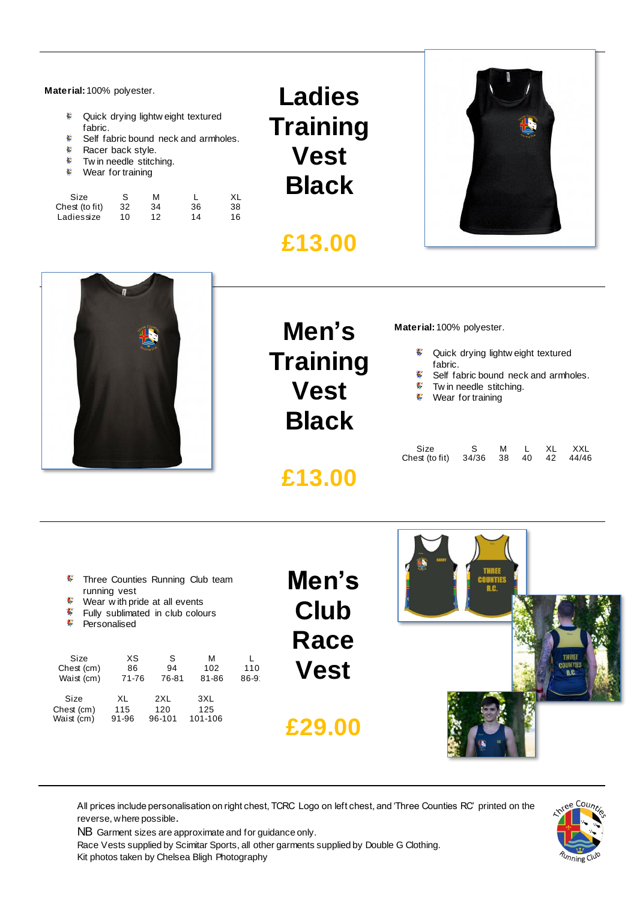**Material:**100% polyester.

- $\mathbf{E}$ Quick drying lightw eight textured fabric.
- ¢ Self fabric bound neck and armholes.
- $\mathbf{E}$  . Racer back style.
- $\mathbf{E}^{\left(1\right)}$ Tw in needle stitching.
- **Wear for training**

| Size           | S   | м  |    | XL |
|----------------|-----|----|----|----|
| Chest (to fit) | 32  | 34 | 36 | 38 |
| Ladiessize     | 10. | 12 | 14 | 16 |

**Ladies Training Vest Black**

#### **£13.00**





## **Men's Training Vest Black**

**£13.00**

**Material:**100% polyester.

- **Quick drying lightw eight textured** fabric.
- £. Self fabric bound neck and armholes.
- $\epsilon$ Tw in needle stitching.
- **Wear for training**

| Size                                |  |  | S M L XL XXL |
|-------------------------------------|--|--|--------------|
| Chest (to fit) 34/36 38 40 42 44/46 |  |  |              |

| ¢, | Three Counties Running Club team |  |  |
|----|----------------------------------|--|--|
|    | running vest                     |  |  |

- $\pmb{\epsilon}$ Wear w ith pride at all events
- $\pmb{\epsilon}$ Fully sublimated in club colours
- $\mathbf C$ Personalised

| Size<br>Chest (cm)<br>Waist (cm) | ХS<br>86<br>71-76 | S<br>94<br>76-81 | м<br>102<br>81-86 | 110<br>$86 - 9$ |
|----------------------------------|-------------------|------------------|-------------------|-----------------|
| Size                             | XL                | 2XL              | 3XL               |                 |
| Chest (cm)                       | 115               | 120              | 125               |                 |
| Waist (cm)                       | 91-96             | 96-101           | 101-106           |                 |

**Men's Club Race Vest**

**£29.00**



All prices include personalisation on right chest, TCRC Logo on left chest, and 'Three Counties RC' printed on the reverse, where possible.

NB Garment sizes are approximate and for guidance only.